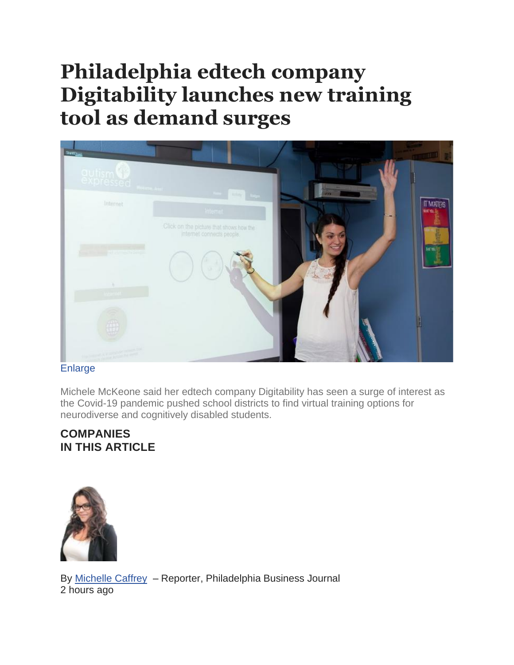## **Philadelphia edtech company Digitability launches new training tool as demand surges**

| <b>Seeing</b><br>qutism <sup>C</sup>   | $\mu_{\rm{min}} = \frac{1}{2} \frac{M_{\rm{max}}}{M_{\rm{min}}}$ , $\mu_{\rm{min}}$ | <b>PSS</b> | <b>TATULINI</b> p |
|----------------------------------------|-------------------------------------------------------------------------------------|------------|-------------------|
| Internet                               | <b>Internet</b>                                                                     |            | <b>IT MATERS</b>  |
| <u>a kata wa</u><br><b>Themat</b>      | Click on the picture that shows how the<br>internet connects people.                |            | for its ?         |
| 4<br><b>School Council of American</b> |                                                                                     |            |                   |

## [Enlarge](https://www.bizjournals.com/)

Michele McKeone said her edtech company Digitability has seen a surge of interest as the Covid-19 pandemic pushed school districts to find virtual training options for neurodiverse and cognitively disabled students.

## **COMPANIES IN THIS ARTICLE**



By [Michelle](https://www.bizjournals.com/philadelphia/bio/36692/Michelle+Caffrey) Caffrey – Reporter, Philadelphia Business Journal 2 hours ago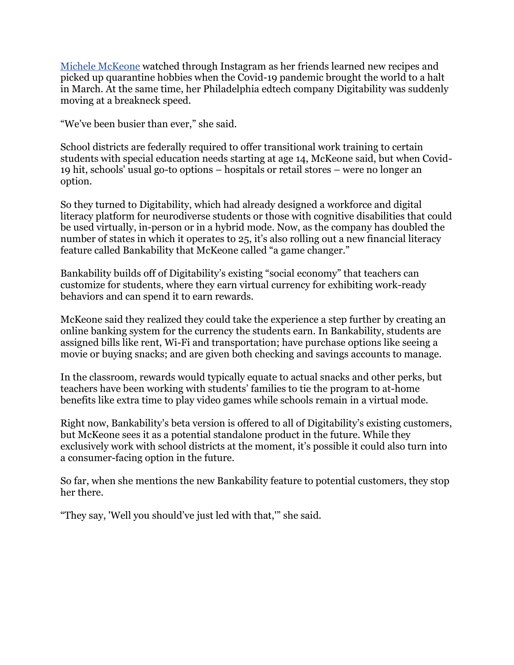[Michele McKeone](https://www.bizjournals.com/philadelphia/search/results?q=Michele%20McKeone) watched through Instagram as her friends learned new recipes and picked up quarantine hobbies when the Covid-19 pandemic brought the world to a halt in March. At the same time, her Philadelphia edtech company Digitability was suddenly moving at a breakneck speed.

"We've been busier than ever," she said.

School districts are federally required to offer transitional work training to certain students with special education needs starting at age 14, McKeone said, but when Covid-19 hit, schools' usual go-to options – hospitals or retail stores – were no longer an option.

So they turned to Digitability, which had already designed a workforce and digital literacy platform for neurodiverse students or those with cognitive disabilities that could be used virtually, in-person or in a hybrid mode. Now, as the company has doubled the number of states in which it operates to 25, it's also rolling out a new financial literacy feature called Bankability that McKeone called "a game changer."

Bankability builds off of Digitability's existing "social economy" that teachers can customize for students, where they earn virtual currency for exhibiting work-ready behaviors and can spend it to earn rewards.

McKeone said they realized they could take the experience a step further by creating an online banking system for the currency the students earn. In Bankability, students are assigned bills like rent, Wi-Fi and transportation; have purchase options like seeing a movie or buying snacks; and are given both checking and savings accounts to manage.

In the classroom, rewards would typically equate to actual snacks and other perks, but teachers have been working with students' families to tie the program to at-home benefits like extra time to play video games while schools remain in a virtual mode.

Right now, Bankability's beta version is offered to all of Digitability's existing customers, but McKeone sees it as a potential standalone product in the future. While they exclusively work with school districts at the moment, it's possible it could also turn into a consumer-facing option in the future.

So far, when she mentions the new Bankability feature to potential customers, they stop her there.

"They say, 'Well you should've just led with that,'" she said.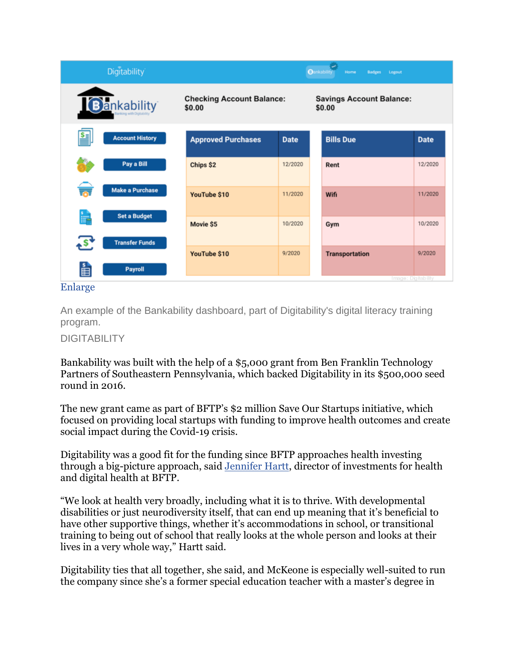| <b>Digitability</b>            |                                            |             | <b>Oankability</b><br><b>Badges</b><br>Logout<br>Home |  |
|--------------------------------|--------------------------------------------|-------------|-------------------------------------------------------|--|
| Bankability                    | <b>Checking Account Balance:</b><br>\$0.00 |             | <b>Savings Account Balance:</b><br>\$0.00             |  |
| ≝<br><b>Account History</b>    | <b>Approved Purchases</b>                  | <b>Date</b> | <b>Bills Due</b><br><b>Date</b>                       |  |
| Pay a Bill                     | Chips \$2                                  | 12/2020     | 12/2020<br>Rent                                       |  |
| <b>Make a Purchase</b>         | YouTube \$10                               | 11/2020     | 11/2020<br>Wifi                                       |  |
| <b>Set a Budget</b><br>F       | Movie \$5                                  | 10/2020     | 10/2020<br>Gym                                        |  |
| S<br><b>Transfer Funds</b>     | YouTube \$10                               | 9/2020      | 9/2020<br><b>Transportation</b>                       |  |
| 山<br><b>Payroll</b><br>Enlarge |                                            |             | Image: Digitability                                   |  |

An example of the Bankability dashboard, part of Digitability's digital literacy training program.

## DIGITABILITY

Bankability was built with the help of a \$5,000 grant from Ben Franklin Technology Partners of Southeastern Pennsylvania, which backed Digitability in its \$500,000 seed round in 2016.

The new grant came as part of BFTP's \$2 million Save Our Startups initiative, which focused on providing local startups with funding to improve health outcomes and create social impact during the Covid-19 crisis.

Digitability was a good fit for the funding since BFTP approaches health investing through a big-picture approach, said [Jennifer Hartt,](https://www.bizjournals.com/philadelphia/search/results?q=Jennifer%20Hartt) director of investments for health and digital health at BFTP.

"We look at health very broadly, including what it is to thrive. With developmental disabilities or just neurodiversity itself, that can end up meaning that it's beneficial to have other supportive things, whether it's accommodations in school, or transitional training to being out of school that really looks at the whole person and looks at their lives in a very whole way," Hartt said.

Digitability ties that all together, she said, and McKeone is especially well-suited to run the company since she's a former special education teacher with a master's degree in